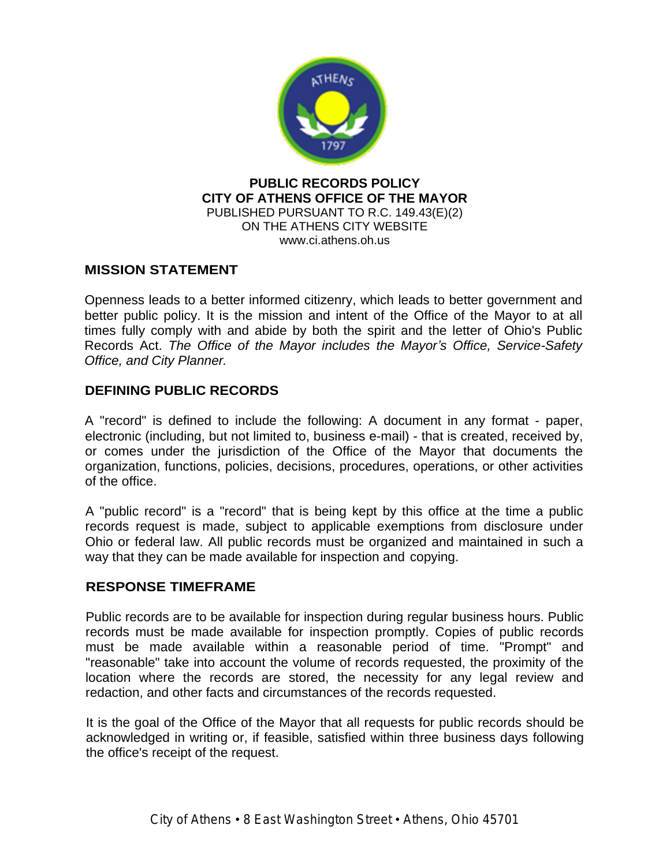

#### **PUBLIC RECORDS POLICY CITY OF ATHENS OFFICE OF THE MAYOR** PUBLISHED PURSUANT TO R.C. 149.43(E)(2) ON THE ATHENS CITY WEBSITE www.ci.athens.oh.us

# **MISSION STATEMENT**

Openness leads to a better informed citizenry, which leads to better government and better public policy. It is the mission and intent of the Office of the Mayor to at all times fully comply with and abide by both the spirit and the letter of Ohio's Public Records Act. *The Office of the Mayor includes the Mayor's Office, Service-Safety Office, and City Planner.*

# **DEFINING PUBLIC RECORDS**

A "record" is defined to include the following: A document in any format - paper, electronic (including, but not limited to, business e-mail) - that is created, received by, or comes under the jurisdiction of the Office of the Mayor that documents the organization, functions, policies, decisions, procedures, operations, or other activities of the office.

A "public record" is a "record" that is being kept by this office at the time a public records request is made, subject to applicable exemptions from disclosure under Ohio or federal law. All public records must be organized and maintained in such a way that they can be made available for inspection and copying.

# **RESPONSE TIMEFRAME**

Public records are to be available for inspection during regular business hours. Public records must be made available for inspection promptly. Copies of public records must be made available within a reasonable period of time. "Prompt" and "reasonable" take into account the volume of records requested, the proximity of the location where the records are stored, the necessity for any legal review and redaction, and other facts and circumstances of the records requested.

It is the goal of the Office of the Mayor that all requests for public records should be acknowledged in writing or, if feasible, satisfied within three business days following the office's receipt of the request.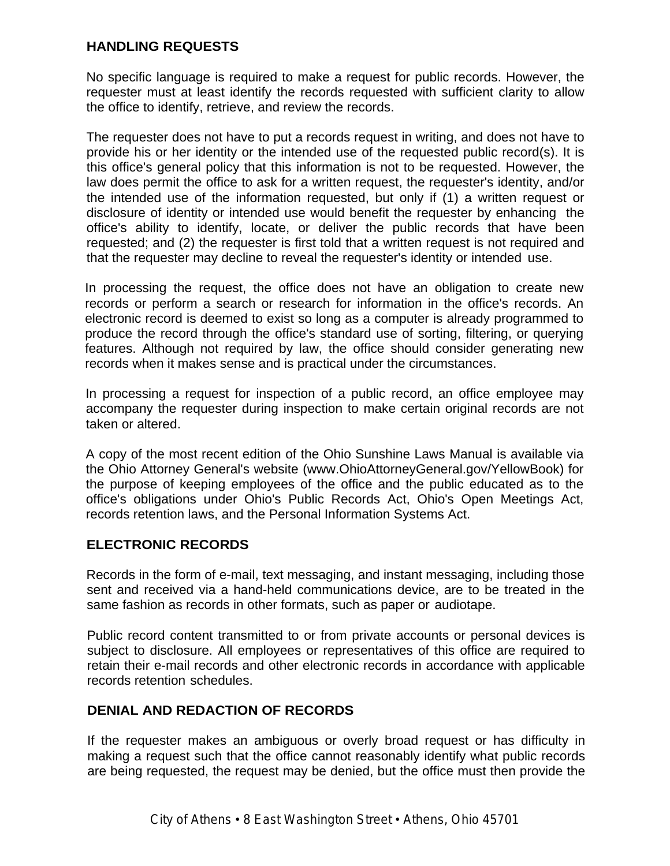# **HANDLING REQUESTS**

No specific language is required to make a request for public records. However, the requester must at least identify the records requested with sufficient clarity to allow the office to identify, retrieve, and review the records.

The requester does not have to put a records request in writing, and does not have to provide his or her identity or the intended use of the requested public record(s). It is this office's general policy that this information is not to be requested. However, the law does permit the office to ask for a written request, the requester's identity, and/or the intended use of the information requested, but only if (1) a written request or disclosure of identity or intended use would benefit the requester by enhancing the office's ability to identify, locate, or deliver the public records that have been requested; and (2) the requester is first told that a written request is not required and that the requester may decline to reveal the requester's identity or intended use.

In processing the request, the office does not have an obligation to create new records or perform a search or research for information in the office's records. An electronic record is deemed to exist so long as a computer is already programmed to produce the record through the office's standard use of sorting, filtering, or querying features. Although not required by law, the office should consider generating new records when it makes sense and is practical under the circumstances.

In processing a request for inspection of a public record, an office employee may accompany the requester during inspection to make certain original records are not taken or altered.

A copy of the most recent edition of the Ohio Sunshine Laws Manual is available via the Ohio Attorney General's website ([www.OhioAttorneyGeneral.gov/YellowBook\)](http://www.OhioAttorneyGeneral.gov/YellowBook)) for the purpose of keeping employees of the office and the public educated as to the office's obligations under Ohio's Public Records Act, Ohio's Open Meetings Act, records retention laws, and the Personal Information Systems Act.

# **ELECTRONIC RECORDS**

Records in the form of e-mail, text messaging, and instant messaging, including those sent and received via a hand-held communications device, are to be treated in the same fashion as records in other formats, such as paper or audiotape.

Public record content transmitted to or from private accounts or personal devices is subject to disclosure. All employees or representatives of this office are required to retain their e-mail records and other electronic records in accordance with applicable records retention schedules.

# **DENIAL AND REDACTION OF RECORDS**

If the requester makes an ambiguous or overly broad request or has difficulty in making a request such that the office cannot reasonably identify what public records are being requested, the request may be denied, but the office must then provide the